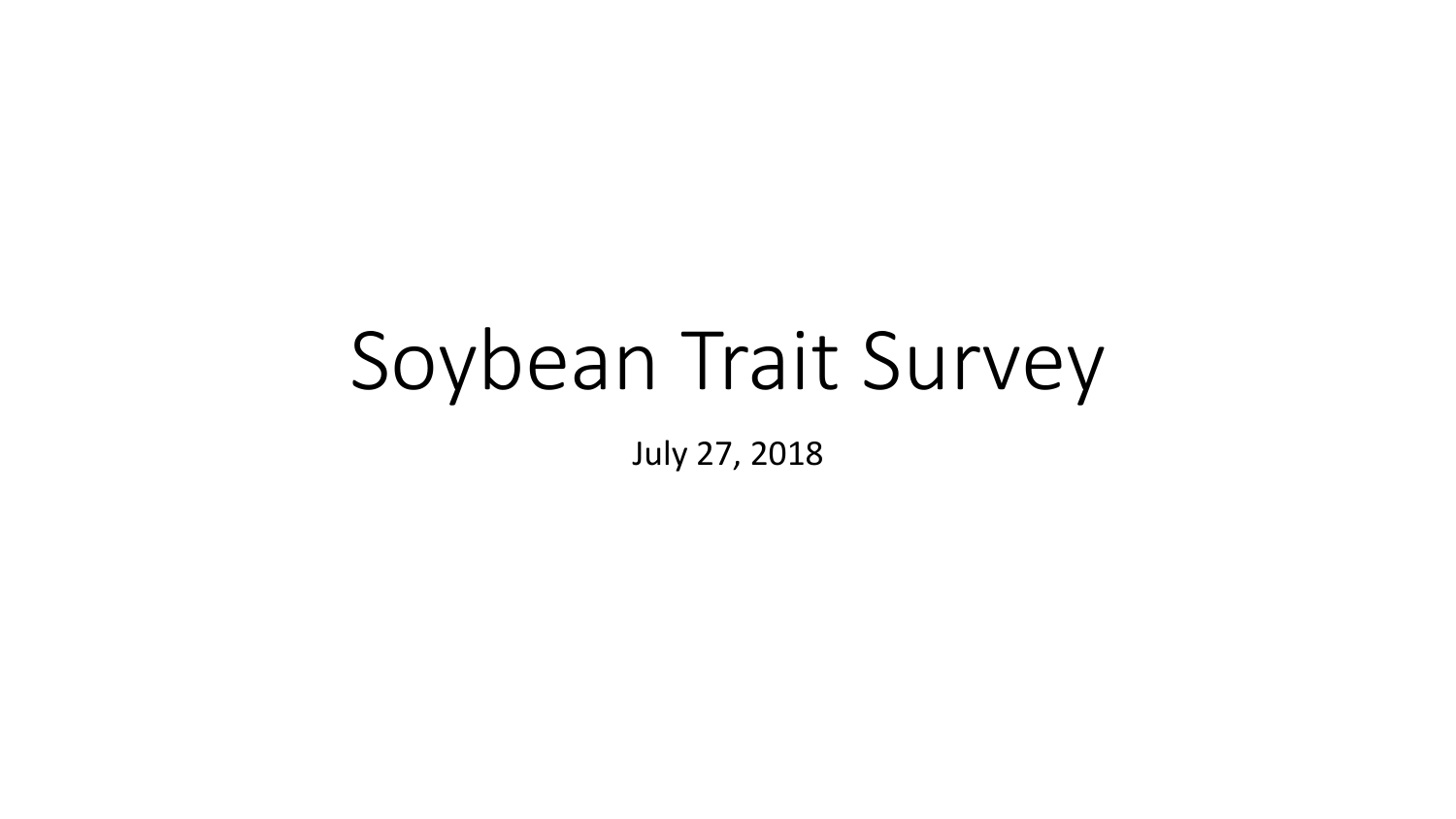# Soybean Trait Survey

July 27, 2018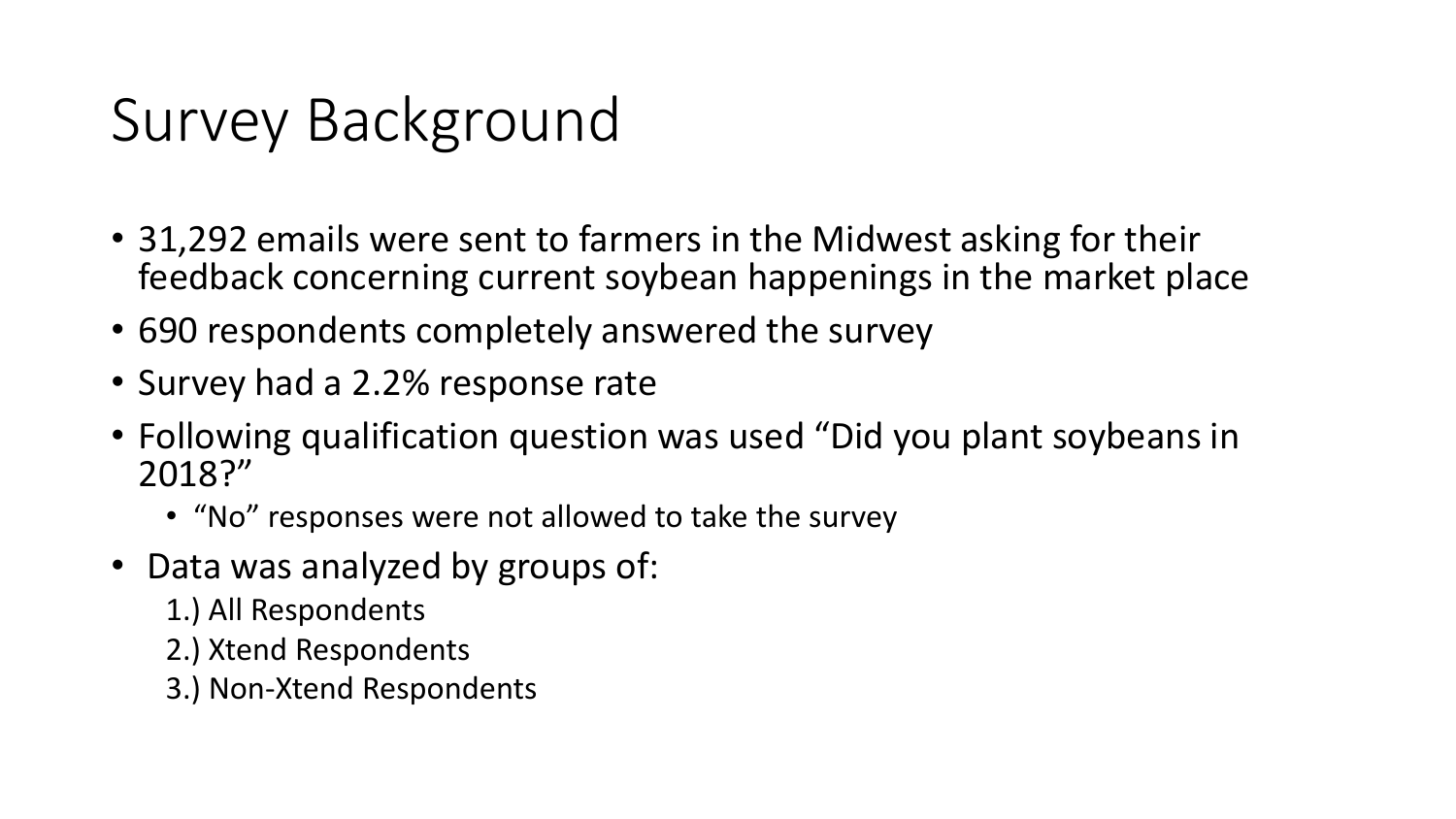# Survey Background

- 31,292 emails were sent to farmers in the Midwest asking for their feedback concerning current soybean happenings in the market place
- 690 respondents completely answered the survey
- Survey had a 2.2% response rate
- Following qualification question was used "Did you plant soybeans in 2018?"
	- "No" responses were not allowed to take the survey
- Data was analyzed by groups of:
	- 1.) All Respondents
	- 2.) Xtend Respondents
	- 3.) Non-Xtend Respondents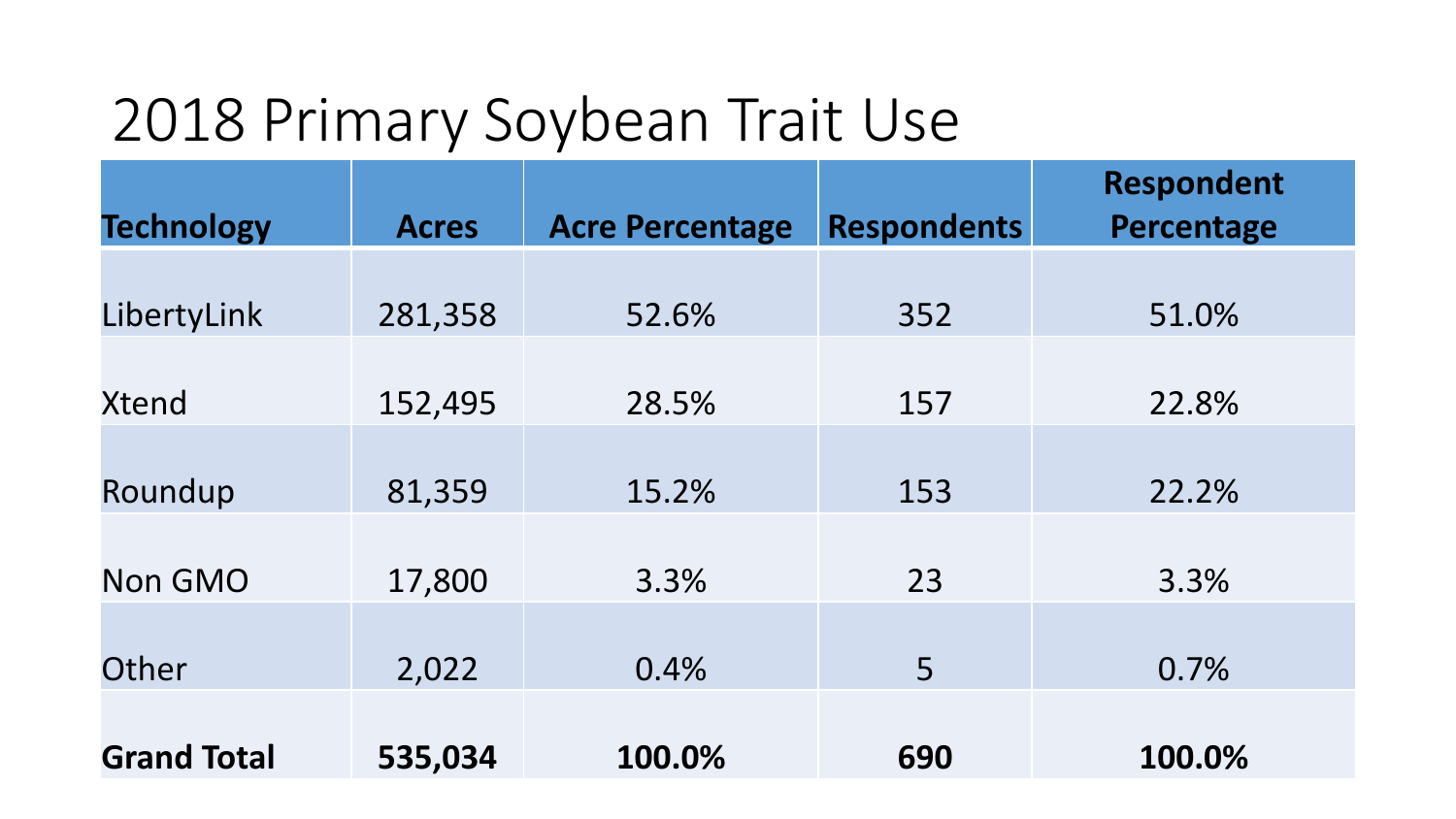# 2018 Primary Soybean Trait Use

| <b>Technology</b>  | <b>Acres</b> | <b>Acre Percentage</b> | <b>Respondents</b> | <b>Respondent</b><br>Percentage |
|--------------------|--------------|------------------------|--------------------|---------------------------------|
|                    |              |                        |                    |                                 |
| LibertyLink        | 281,358      | 52.6%                  | 352                | 51.0%                           |
|                    |              |                        |                    |                                 |
| <b>Xtend</b>       | 152,495      | 28.5%                  | 157                | 22.8%                           |
|                    |              |                        |                    |                                 |
| Roundup            | 81,359       | 15.2%                  | 153                | 22.2%                           |
|                    |              |                        |                    |                                 |
| <b>Non GMO</b>     | 17,800       | 3.3%                   | 23                 | 3.3%                            |
| Other              | 2,022        | 0.4%                   | 5                  | 0.7%                            |
|                    |              |                        |                    |                                 |
| <b>Grand Total</b> | 535,034      | 100.0%                 | 690                | 100.0%                          |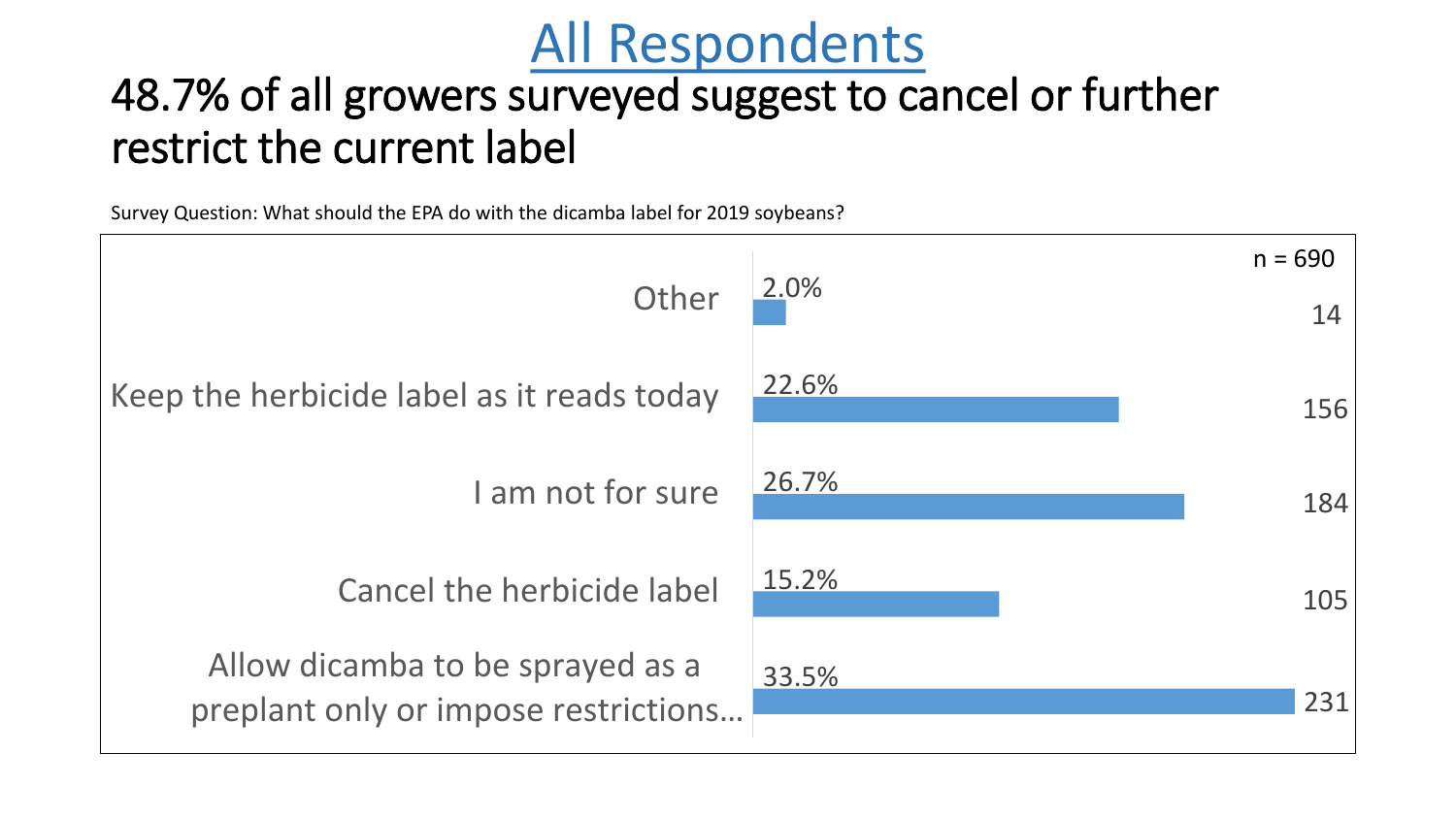## All Respondents

### 48.7% of all growers surveyed suggest to cancel or further restrict the current label

Survey Question: What should the EPA do with the dicamba label for 2019 soybeans?

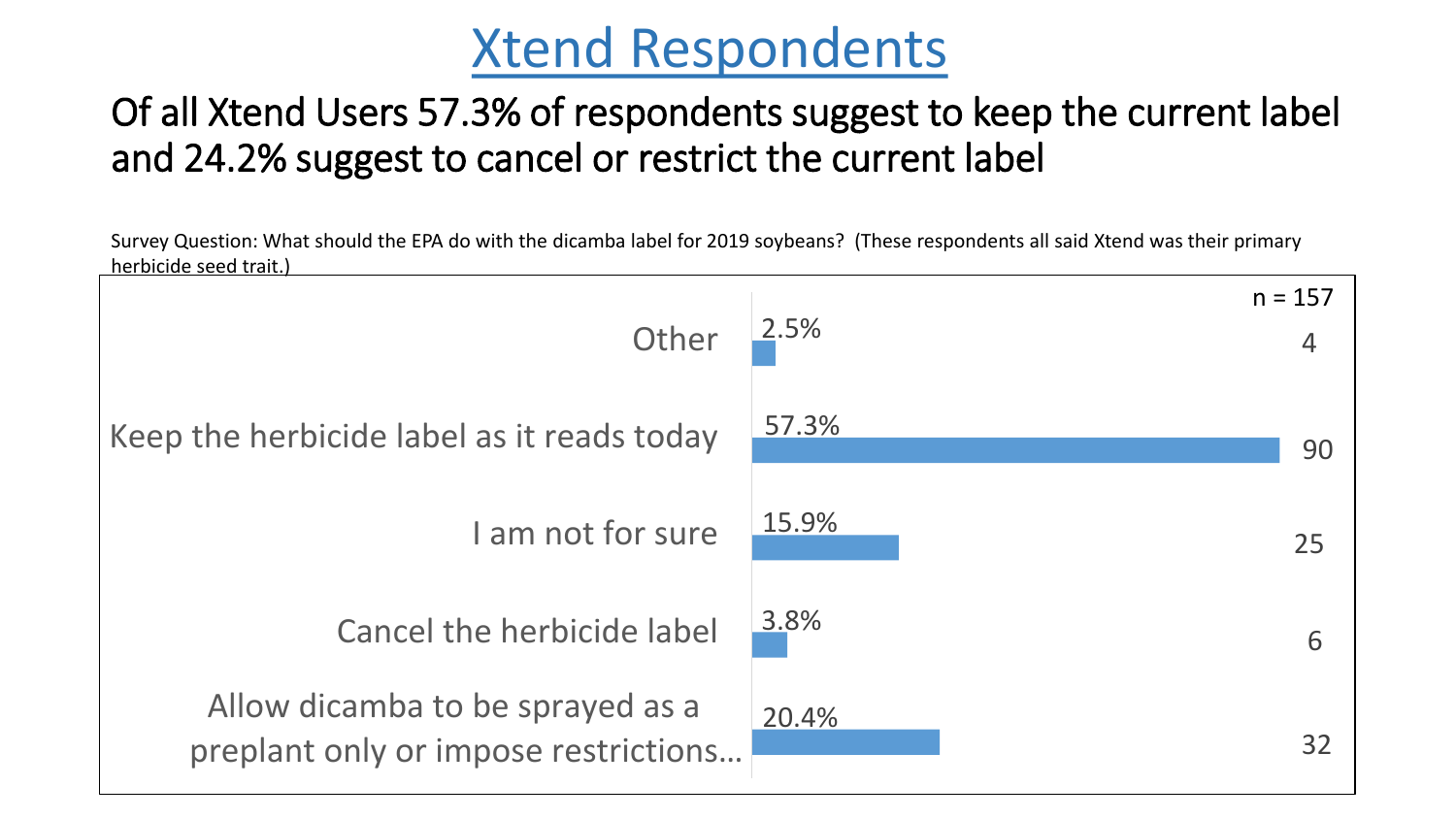## Xtend Respondents

#### Of all Xtend Users 57.3% of respondents suggest to keep the current label and 24.2% suggest to cancel or restrict the current label

Survey Question: What should the EPA do with the dicamba label for 2019 soybeans? (These respondents all said Xtend was their primary herbicide seed trait.)

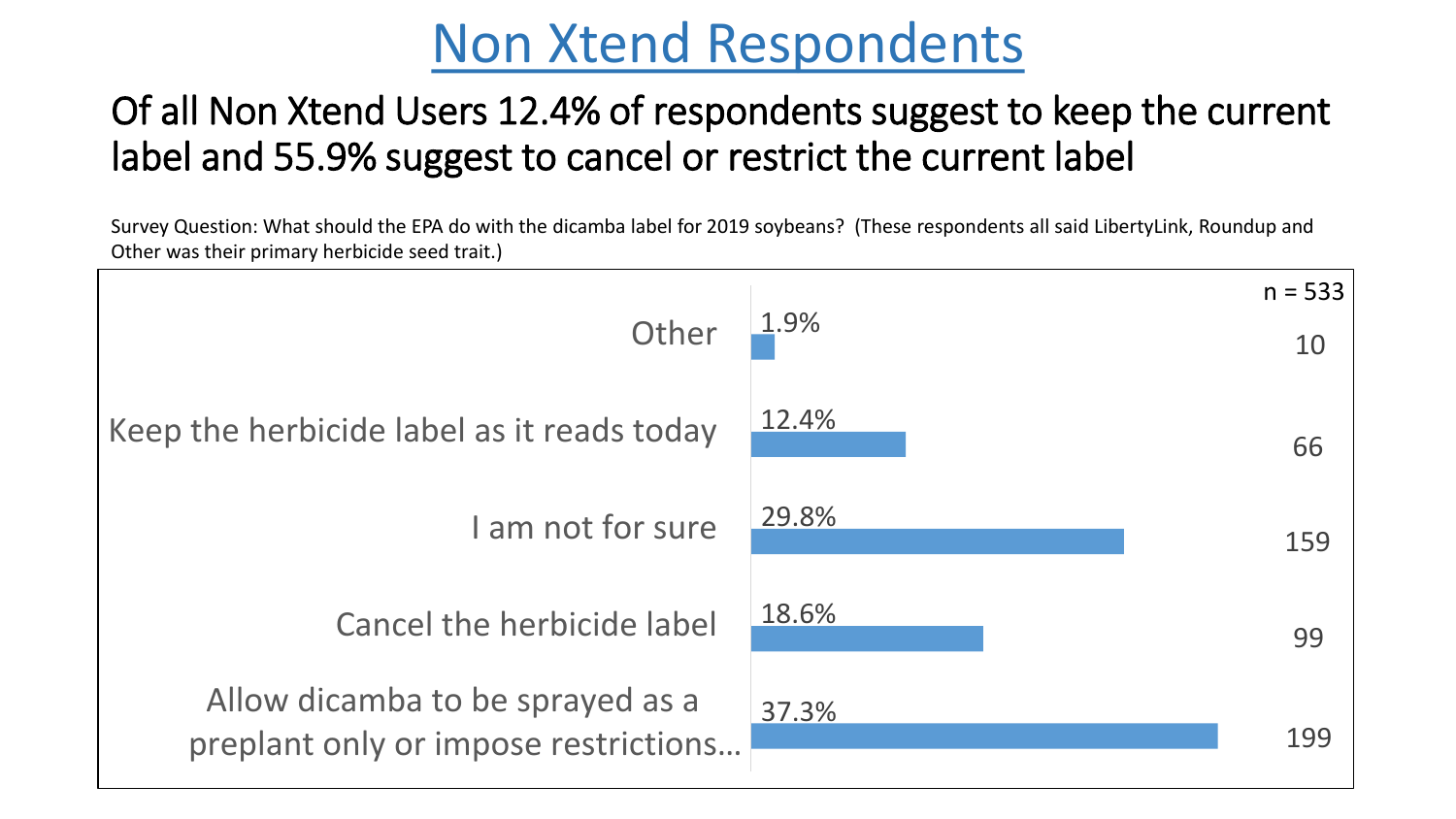## Non Xtend Respondents

#### Of all Non Xtend Users 12.4% of respondents suggest to keep the current label and 55.9% suggest to cancel or restrict the current label

Survey Question: What should the EPA do with the dicamba label for 2019 soybeans? (These respondents all said LibertyLink, Roundup and Other was their primary herbicide seed trait.)

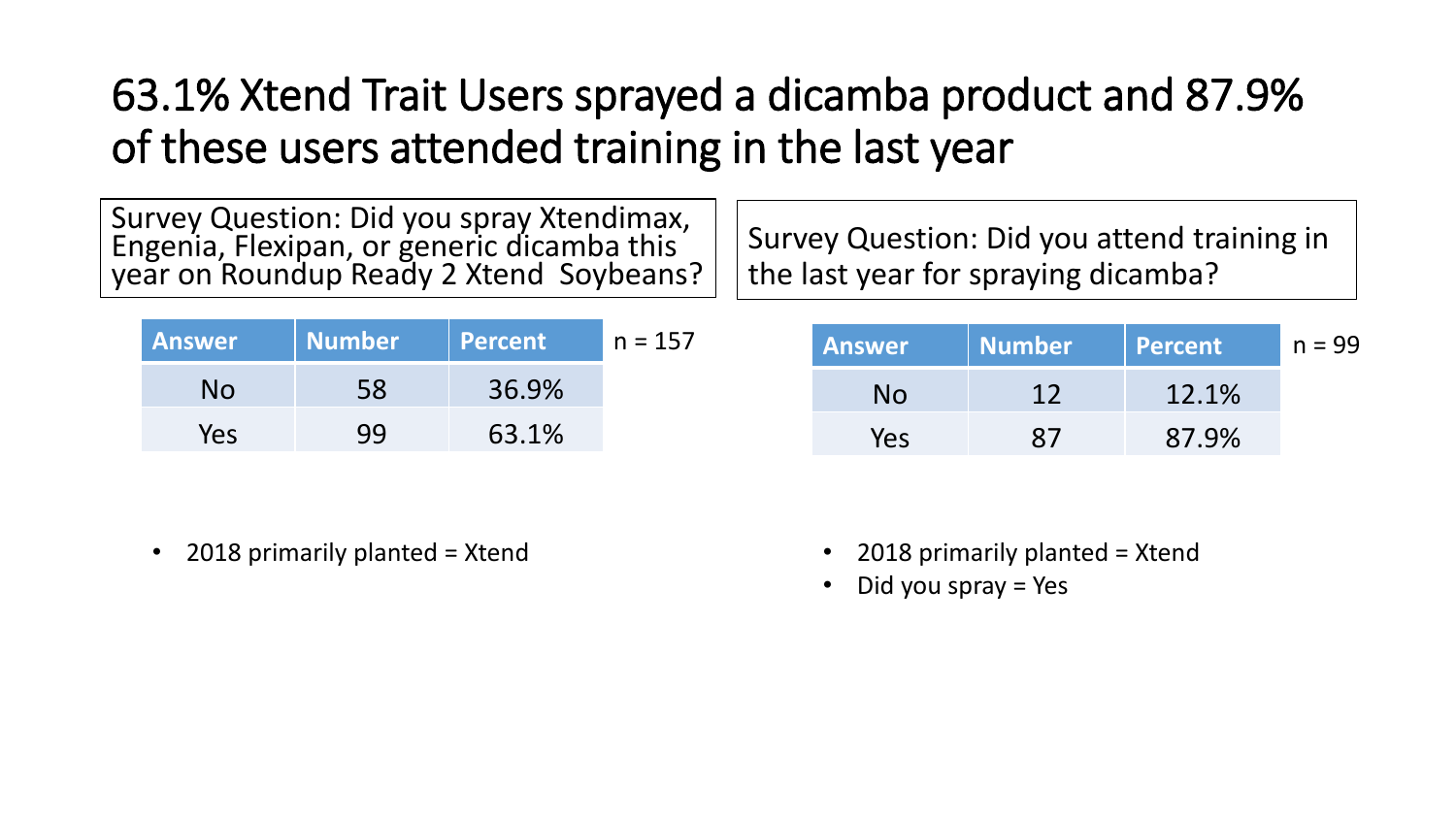## 63.1% Xtend Trait Users sprayed a dicamba product and 87.9% of these users attended training in the last year

Survey Question: Did you spray Xtendimax, Engenia, Flexipan, or generic dicamba this year on Roundup Ready 2 Xtend Soybeans?

| <b>Answer</b> | Mumb <u>er</u> | <b>Percent</b> | n = 157 |
|---------------|----------------|----------------|---------|
| No            | 58             | 36.9%          |         |
| Yes           | 99             | 63.1%          |         |

Survey Question: Did you attend training in the last year for spraying dicamba?

| $n = 157$ | <b>Answer</b> | Number | Percent | $n = 99$ |
|-----------|---------------|--------|---------|----------|
|           | No.           |        | 12.1%   |          |
|           | Yes           |        | 87.9%   |          |

- 2018 primarily planted = Xtend 2018 primarily planted = Xtend
	- Did you spray = Yes